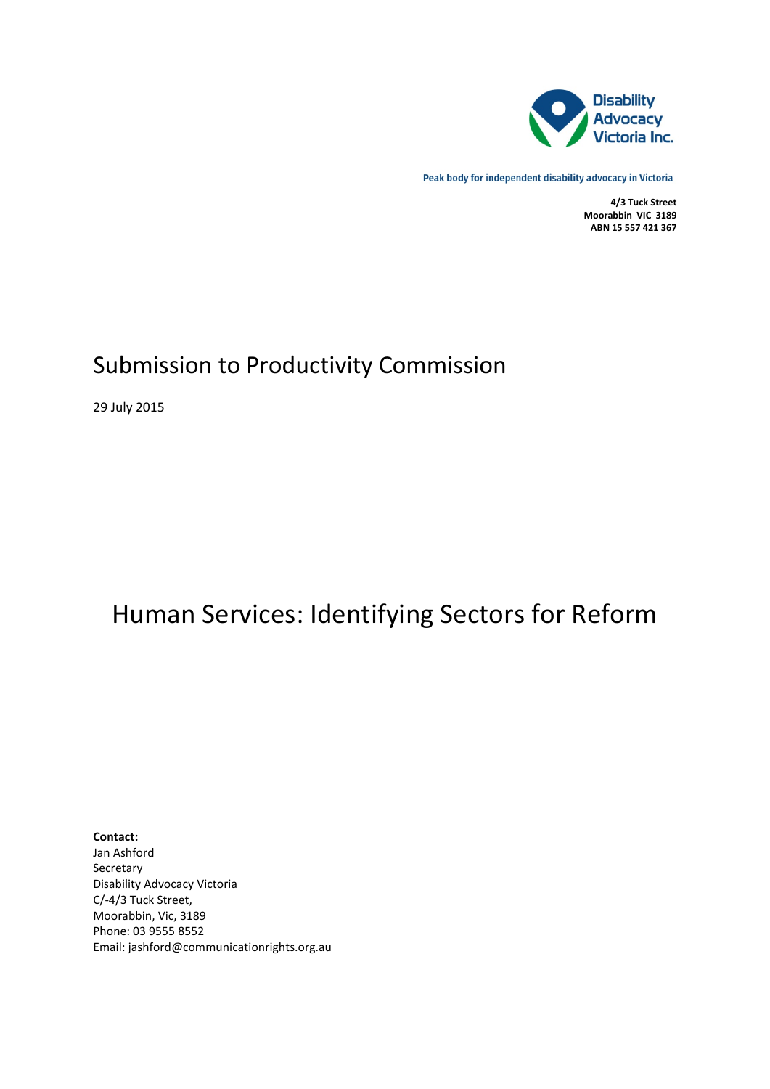

Peak body for independent disability advocacy in Victoria

**4/3 Tuck Street Moorabbin VIC 3189 ABN 15 557 421 367**

## Submission to Productivity Commission

29 July 2015

# Human Services: Identifying Sectors for Reform

**Contact:** Jan Ashford Secretary Disability Advocacy Victoria C/-4/3 Tuck Street, Moorabbin, Vic, 3189 Phone: 03 9555 8552 Email: jashford@communicationrights.org.au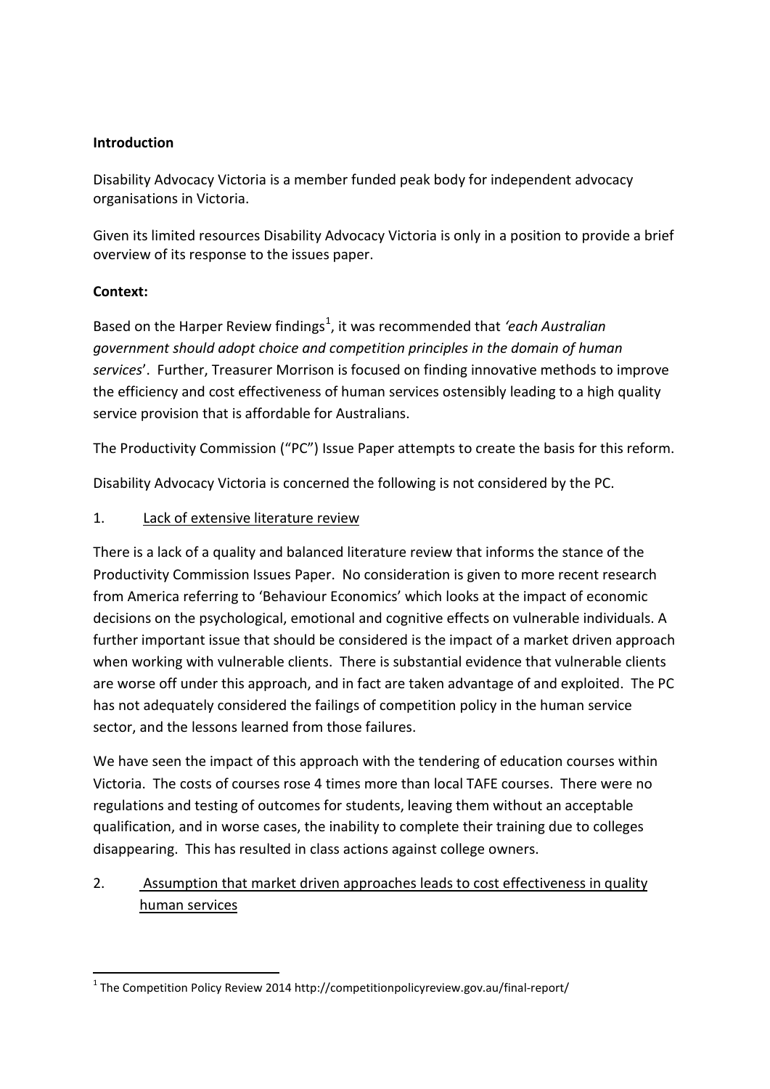#### **Introduction**

Disability Advocacy Victoria is a member funded peak body for independent advocacy organisations in Victoria.

Given its limited resources Disability Advocacy Victoria is only in a position to provide a brief overview of its response to the issues paper.

#### **Context:**

Based on the Harper Review findings<sup>[1](#page-1-0)</sup>, it was recommended that *'each Australian government should adopt choice and competition principles in the domain of human services*'. Further, Treasurer Morrison is focused on finding innovative methods to improve the efficiency and cost effectiveness of human services ostensibly leading to a high quality service provision that is affordable for Australians.

The Productivity Commission ("PC") Issue Paper attempts to create the basis for this reform.

Disability Advocacy Victoria is concerned the following is not considered by the PC.

#### 1. Lack of extensive literature review

There is a lack of a quality and balanced literature review that informs the stance of the Productivity Commission Issues Paper. No consideration is given to more recent research from America referring to 'Behaviour Economics' which looks at the impact of economic decisions on the psychological, emotional and cognitive effects on vulnerable individuals. A further important issue that should be considered is the impact of a market driven approach when working with vulnerable clients. There is substantial evidence that vulnerable clients are worse off under this approach, and in fact are taken advantage of and exploited. The PC has not adequately considered the failings of competition policy in the human service sector, and the lessons learned from those failures.

We have seen the impact of this approach with the tendering of education courses within Victoria. The costs of courses rose 4 times more than local TAFE courses. There were no regulations and testing of outcomes for students, leaving them without an acceptable qualification, and in worse cases, the inability to complete their training due to colleges disappearing. This has resulted in class actions against college owners.

### 2. Assumption that market driven approaches leads to cost effectiveness in quality human services

<span id="page-1-0"></span> $1$  The Competition Policy Review 2014 http://competitionpolicyreview.gov.au/final-report/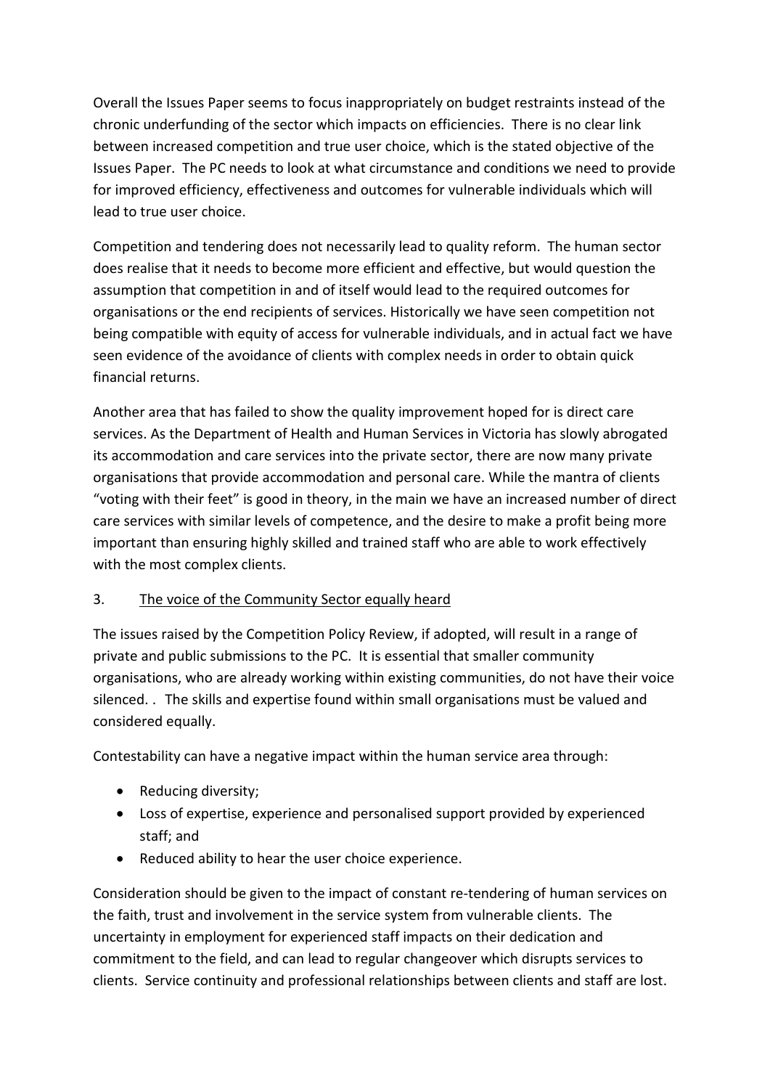Overall the Issues Paper seems to focus inappropriately on budget restraints instead of the chronic underfunding of the sector which impacts on efficiencies. There is no clear link between increased competition and true user choice, which is the stated objective of the Issues Paper. The PC needs to look at what circumstance and conditions we need to provide for improved efficiency, effectiveness and outcomes for vulnerable individuals which will lead to true user choice.

Competition and tendering does not necessarily lead to quality reform. The human sector does realise that it needs to become more efficient and effective, but would question the assumption that competition in and of itself would lead to the required outcomes for organisations or the end recipients of services. Historically we have seen competition not being compatible with equity of access for vulnerable individuals, and in actual fact we have seen evidence of the avoidance of clients with complex needs in order to obtain quick financial returns.

Another area that has failed to show the quality improvement hoped for is direct care services. As the Department of Health and Human Services in Victoria has slowly abrogated its accommodation and care services into the private sector, there are now many private organisations that provide accommodation and personal care. While the mantra of clients "voting with their feet" is good in theory, in the main we have an increased number of direct care services with similar levels of competence, and the desire to make a profit being more important than ensuring highly skilled and trained staff who are able to work effectively with the most complex clients.

#### 3. The voice of the Community Sector equally heard

The issues raised by the Competition Policy Review, if adopted, will result in a range of private and public submissions to the PC. It is essential that smaller community organisations, who are already working within existing communities, do not have their voice silenced. . The skills and expertise found within small organisations must be valued and considered equally.

Contestability can have a negative impact within the human service area through:

- Reducing diversity;
- Loss of expertise, experience and personalised support provided by experienced staff; and
- Reduced ability to hear the user choice experience.

Consideration should be given to the impact of constant re-tendering of human services on the faith, trust and involvement in the service system from vulnerable clients. The uncertainty in employment for experienced staff impacts on their dedication and commitment to the field, and can lead to regular changeover which disrupts services to clients. Service continuity and professional relationships between clients and staff are lost.